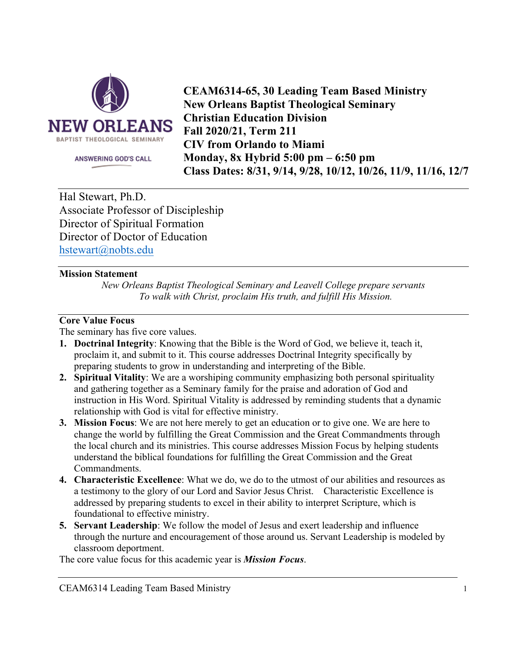

ANSWERING GOD'S CALL

**CEAM6314-65, 30 Leading Team Based Ministry New Orleans Baptist Theological Seminary Christian Education Division Fall 2020/21, Term 211 CIV from Orlando to Miami Monday, 8x Hybrid 5:00 pm – 6:50 pm Class Dates: 8/31, 9/14, 9/28, 10/12, 10/26, 11/9, 11/16, 12/7**

Hal Stewart, Ph.D. Associate Professor of Discipleship Director of Spiritual Formation Director of Doctor of Education hstewart@nobts.edu

## **Mission Statement**

*New Orleans Baptist Theological Seminary and Leavell College prepare servants To walk with Christ, proclaim His truth, and fulfill His Mission.* 

## **Core Value Focus**

The seminary has five core values.

- **1. Doctrinal Integrity**: Knowing that the Bible is the Word of God, we believe it, teach it, proclaim it, and submit to it. This course addresses Doctrinal Integrity specifically by preparing students to grow in understanding and interpreting of the Bible.
- **2. Spiritual Vitality**: We are a worshiping community emphasizing both personal spirituality and gathering together as a Seminary family for the praise and adoration of God and instruction in His Word. Spiritual Vitality is addressed by reminding students that a dynamic relationship with God is vital for effective ministry.
- **3. Mission Focus**: We are not here merely to get an education or to give one. We are here to change the world by fulfilling the Great Commission and the Great Commandments through the local church and its ministries. This course addresses Mission Focus by helping students understand the biblical foundations for fulfilling the Great Commission and the Great Commandments.
- **4. Characteristic Excellence**: What we do, we do to the utmost of our abilities and resources as a testimony to the glory of our Lord and Savior Jesus Christ. Characteristic Excellence is addressed by preparing students to excel in their ability to interpret Scripture, which is foundational to effective ministry.
- **5. Servant Leadership**: We follow the model of Jesus and exert leadership and influence through the nurture and encouragement of those around us. Servant Leadership is modeled by classroom deportment.

The core value focus for this academic year is *Mission Focus*.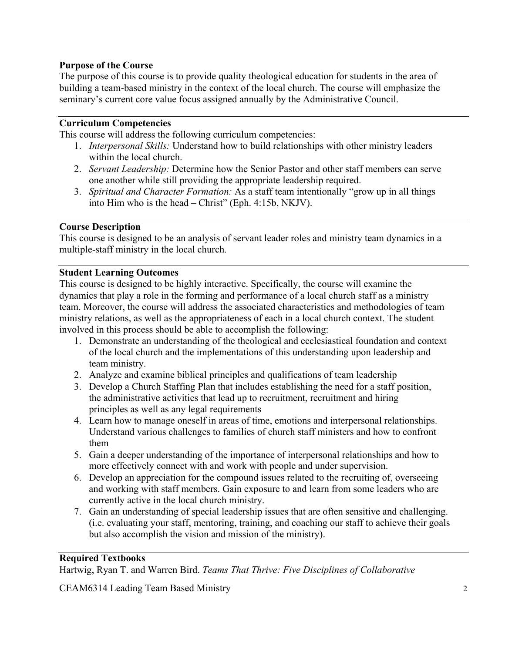# **Purpose of the Course**

The purpose of this course is to provide quality theological education for students in the area of building a team-based ministry in the context of the local church. The course will emphasize the seminary's current core value focus assigned annually by the Administrative Council.

# **Curriculum Competencies**

This course will address the following curriculum competencies:

- 1. *Interpersonal Skills:* Understand how to build relationships with other ministry leaders within the local church.
- 2. *Servant Leadership:* Determine how the Senior Pastor and other staff members can serve one another while still providing the appropriate leadership required.
- 3. *Spiritual and Character Formation:* As a staff team intentionally "grow up in all things into Him who is the head – Christ" (Eph. 4:15b, NKJV).

### **Course Description**

This course is designed to be an analysis of servant leader roles and ministry team dynamics in a multiple-staff ministry in the local church.

#### **Student Learning Outcomes**

This course is designed to be highly interactive. Specifically, the course will examine the dynamics that play a role in the forming and performance of a local church staff as a ministry team. Moreover, the course will address the associated characteristics and methodologies of team ministry relations, as well as the appropriateness of each in a local church context. The student involved in this process should be able to accomplish the following:

- 1. Demonstrate an understanding of the theological and ecclesiastical foundation and context of the local church and the implementations of this understanding upon leadership and team ministry.
- 2. Analyze and examine biblical principles and qualifications of team leadership
- 3. Develop a Church Staffing Plan that includes establishing the need for a staff position, the administrative activities that lead up to recruitment, recruitment and hiring principles as well as any legal requirements
- 4. Learn how to manage oneself in areas of time, emotions and interpersonal relationships. Understand various challenges to families of church staff ministers and how to confront them
- 5. Gain a deeper understanding of the importance of interpersonal relationships and how to more effectively connect with and work with people and under supervision.
- 6. Develop an appreciation for the compound issues related to the recruiting of, overseeing and working with staff members. Gain exposure to and learn from some leaders who are currently active in the local church ministry.
- 7. Gain an understanding of special leadership issues that are often sensitive and challenging. (i.e. evaluating your staff, mentoring, training, and coaching our staff to achieve their goals but also accomplish the vision and mission of the ministry).

## **Required Textbooks**

Hartwig, Ryan T. and Warren Bird. *Teams That Thrive: Five Disciplines of Collaborative*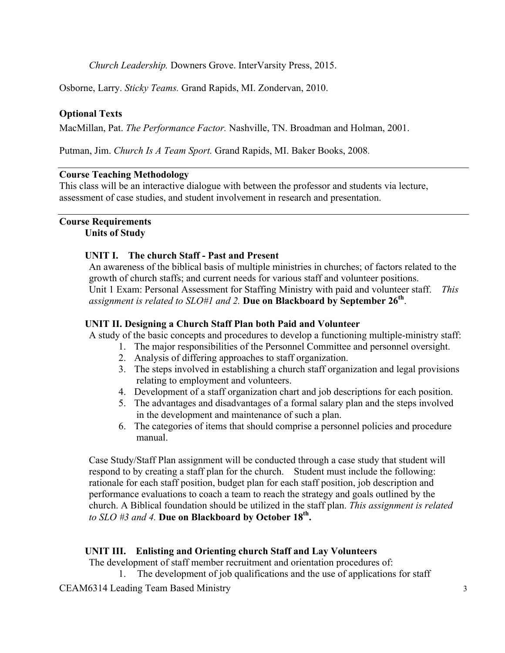*Church Leadership.* Downers Grove. InterVarsity Press, 2015.

Osborne, Larry. *Sticky Teams.* Grand Rapids, MI. Zondervan, 2010.

## **Optional Texts**

MacMillan, Pat. *The Performance Factor.* Nashville, TN. Broadman and Holman, 2001.

Putman, Jim. *Church Is A Team Sport.* Grand Rapids, MI. Baker Books, 2008.

#### **Course Teaching Methodology**

This class will be an interactive dialogue with between the professor and students via lecture, assessment of case studies, and student involvement in research and presentation.

#### **Course Requirements Units of Study**

#### **UNIT I. The church Staff - Past and Present**

An awareness of the biblical basis of multiple ministries in churches; of factors related to the growth of church staffs; and current needs for various staff and volunteer positions. Unit 1 Exam: Personal Assessment for Staffing Ministry with paid and volunteer staff. *This assignment is related to SLO#1 and 2.* **Due on Blackboard by September 26th**.

## **UNIT II. Designing a Church Staff Plan both Paid and Volunteer**

A study of the basic concepts and procedures to develop a functioning multiple-ministry staff:

- 1. The major responsibilities of the Personnel Committee and personnel oversight.
	- 2. Analysis of differing approaches to staff organization.
	- 3. The steps involved in establishing a church staff organization and legal provisions relating to employment and volunteers.
	- 4. Development of a staff organization chart and job descriptions for each position.
	- 5. The advantages and disadvantages of a formal salary plan and the steps involved in the development and maintenance of such a plan.
	- 6. The categories of items that should comprise a personnel policies and procedure manual.

Case Study/Staff Plan assignment will be conducted through a case study that student will respond to by creating a staff plan for the church. Student must include the following: rationale for each staff position, budget plan for each staff position, job description and performance evaluations to coach a team to reach the strategy and goals outlined by the church. A Biblical foundation should be utilized in the staff plan. *This assignment is related to SLO #3 and 4.* **Due on Blackboard by October 18th.**

# **UNIT III. Enlisting and Orienting church Staff and Lay Volunteers**

The development of staff member recruitment and orientation procedures of:

1. The development of job qualifications and the use of applications for staff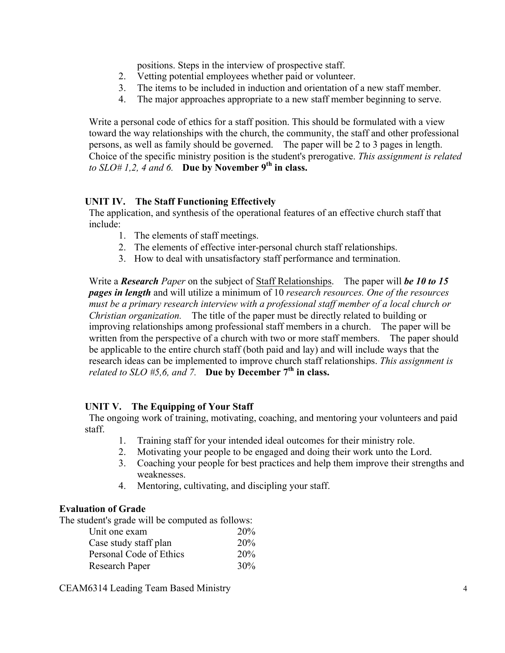positions. Steps in the interview of prospective staff.

- 2. Vetting potential employees whether paid or volunteer.
- 3. The items to be included in induction and orientation of a new staff member.
- 4. The major approaches appropriate to a new staff member beginning to serve.

Write a personal code of ethics for a staff position. This should be formulated with a view toward the way relationships with the church, the community, the staff and other professional persons, as well as family should be governed. The paper will be 2 to 3 pages in length. Choice of the specific ministry position is the student's prerogative. *This assignment is related to SLO# 1,2, 4 and 6.* **Due by November 9th in class.**

# **UNIT IV. The Staff Functioning Effectively**

The application, and synthesis of the operational features of an effective church staff that include:

- 1. The elements of staff meetings.
- 2. The elements of effective inter-personal church staff relationships.
- 3. How to deal with unsatisfactory staff performance and termination.

Write a *Research Paper* on the subject of Staff Relationships. The paper will *be 10 to 15 pages in length* and will utilize a minimum of 10 *research resources. One of the resources must be a primary research interview with a professional staff member of a local church or Christian organization.* The title of the paper must be directly related to building or improving relationships among professional staff members in a church. The paper will be written from the perspective of a church with two or more staff members. The paper should be applicable to the entire church staff (both paid and lay) and will include ways that the research ideas can be implemented to improve church staff relationships. *This assignment is related to SLO #5,6, and 7.* **Due by December**  $7<sup>th</sup>$  **in class.** 

# **UNIT V. The Equipping of Your Staff**

The ongoing work of training, motivating, coaching, and mentoring your volunteers and paid staff.

- 1. Training staff for your intended ideal outcomes for their ministry role.
- 2. Motivating your people to be engaged and doing their work unto the Lord.
- 3. Coaching your people for best practices and help them improve their strengths and weaknesses.
- 4. Mentoring, cultivating, and discipling your staff.

# **Evaluation of Grade**

The student's grade will be computed as follows:

| Unit one exam           | <b>20%</b> |
|-------------------------|------------|
| Case study staff plan   | 20%        |
| Personal Code of Ethics | 20%        |
| Research Paper          | 30%        |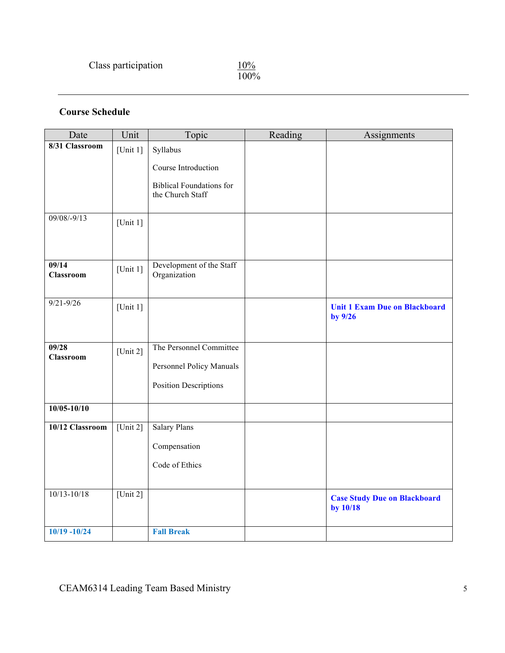$\frac{10\%}{100\%}$ 

# **Course Schedule**

| Date                      | Unit                       | Topic                                    | Reading | Assignments                                     |
|---------------------------|----------------------------|------------------------------------------|---------|-------------------------------------------------|
| 8/31 Classroom            | [Unit 1]                   | Syllabus                                 |         |                                                 |
|                           |                            | Course Introduction                      |         |                                                 |
|                           |                            | <b>Biblical Foundations for</b>          |         |                                                 |
|                           |                            | the Church Staff                         |         |                                                 |
| $09/08/-9/13$             | [Unit $1$ ]                |                                          |         |                                                 |
|                           |                            |                                          |         |                                                 |
| 09/14<br><b>Classroom</b> | [Unit $1$ ]                | Development of the Staff<br>Organization |         |                                                 |
| $9/21 - 9/26$             | [Unit $1$ ]                |                                          |         | <b>Unit 1 Exam Due on Blackboard</b><br>by 9/26 |
| 09/28                     |                            | The Personnel Committee                  |         |                                                 |
| <b>Classroom</b>          | [Unit $2$ ]                |                                          |         |                                                 |
|                           |                            | Personnel Policy Manuals                 |         |                                                 |
|                           |                            | <b>Position Descriptions</b>             |         |                                                 |
| $10/05 - 10/10$           |                            |                                          |         |                                                 |
| 10/12 Classroom           | [Unit 2]                   | <b>Salary Plans</b>                      |         |                                                 |
|                           |                            | Compensation                             |         |                                                 |
|                           |                            | Code of Ethics                           |         |                                                 |
|                           |                            |                                          |         |                                                 |
| $10/13 - 10/18$           | $\overline{\text{Unit 2}}$ |                                          |         | <b>Case Study Due on Blackboard</b><br>by 10/18 |
| $10/19 - 10/24$           |                            | <b>Fall Break</b>                        |         |                                                 |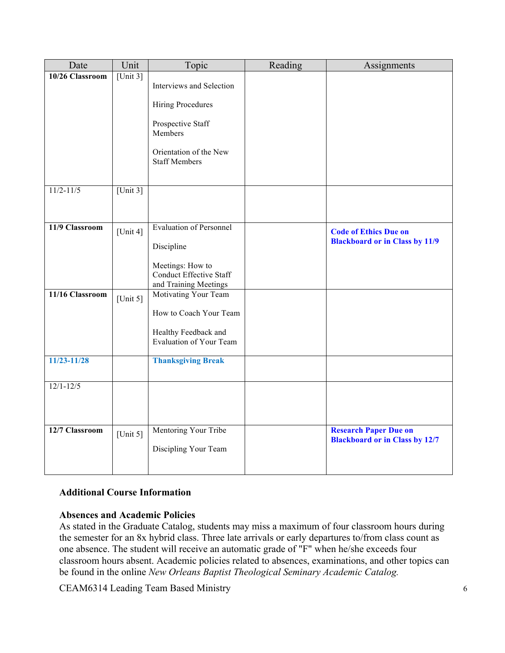| Date            | Unit        | Topic                                         | Reading | Assignments                           |
|-----------------|-------------|-----------------------------------------------|---------|---------------------------------------|
| 10/26 Classroom | [Unit $3$ ] |                                               |         |                                       |
|                 |             | Interviews and Selection                      |         |                                       |
|                 |             | <b>Hiring Procedures</b>                      |         |                                       |
|                 |             |                                               |         |                                       |
|                 |             | Prospective Staff<br>Members                  |         |                                       |
|                 |             |                                               |         |                                       |
|                 |             | Orientation of the New                        |         |                                       |
|                 |             | <b>Staff Members</b>                          |         |                                       |
|                 |             |                                               |         |                                       |
| $11/2 - 11/5$   | [Unit $3$ ] |                                               |         |                                       |
|                 |             |                                               |         |                                       |
|                 |             |                                               |         |                                       |
| 11/9 Classroom  | [Unit 4]    | <b>Evaluation of Personnel</b>                |         | <b>Code of Ethics Due on</b>          |
|                 |             | Discipline                                    |         | <b>Blackboard or in Class by 11/9</b> |
|                 |             |                                               |         |                                       |
|                 |             | Meetings: How to                              |         |                                       |
|                 |             | <b>Conduct Effective Staff</b>                |         |                                       |
| 11/16 Classroom |             | and Training Meetings<br>Motivating Your Team |         |                                       |
|                 | [Unit $5$ ] |                                               |         |                                       |
|                 |             | How to Coach Your Team                        |         |                                       |
|                 |             | Healthy Feedback and                          |         |                                       |
|                 |             | <b>Evaluation of Your Team</b>                |         |                                       |
| 11/23-11/28     |             | <b>Thanksgiving Break</b>                     |         |                                       |
|                 |             |                                               |         |                                       |
| $12/1 - 12/5$   |             |                                               |         |                                       |
|                 |             |                                               |         |                                       |
|                 |             |                                               |         |                                       |
|                 |             |                                               |         |                                       |
| 12/7 Classroom  | [Unit $5$ ] | Mentoring Your Tribe                          |         | <b>Research Paper Due on</b>          |
|                 |             | Discipling Your Team                          |         | <b>Blackboard or in Class by 12/7</b> |
|                 |             |                                               |         |                                       |
|                 |             |                                               |         |                                       |

# **Additional Course Information**

# **Absences and Academic Policies**

As stated in the Graduate Catalog, students may miss a maximum of four classroom hours during the semester for an 8x hybrid class. Three late arrivals or early departures to/from class count as one absence. The student will receive an automatic grade of "F" when he/she exceeds four classroom hours absent. Academic policies related to absences, examinations, and other topics can be found in the online *New Orleans Baptist Theological Seminary Academic Catalog.*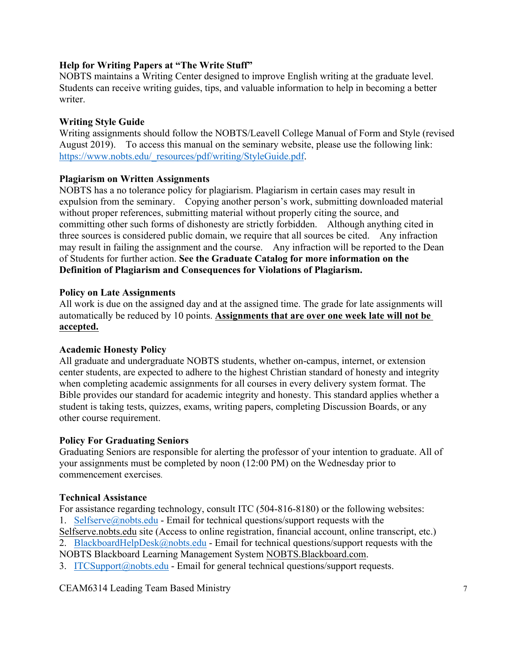## **Help for Writing Papers at "The Write Stuff"**

NOBTS maintains a Writing Center designed to improve English writing at the graduate level. Students can receive writing guides, tips, and valuable information to help in becoming a better writer.

## **Writing Style Guide**

Writing assignments should follow the NOBTS/Leavell College Manual of Form and Style (revised August 2019). To access this manual on the seminary website, please use the following link: https://www.nobts.edu/\_resources/pdf/writing/StyleGuide.pdf.

## **Plagiarism on Written Assignments**

NOBTS has a no tolerance policy for plagiarism. Plagiarism in certain cases may result in expulsion from the seminary. Copying another person's work, submitting downloaded material without proper references, submitting material without properly citing the source, and committing other such forms of dishonesty are strictly forbidden. Although anything cited in three sources is considered public domain, we require that all sources be cited. Any infraction may result in failing the assignment and the course. Any infraction will be reported to the Dean of Students for further action. **See the Graduate Catalog for more information on the Definition of Plagiarism and Consequences for Violations of Plagiarism.**

## **Policy on Late Assignments**

All work is due on the assigned day and at the assigned time. The grade for late assignments will automatically be reduced by 10 points. **Assignments that are over one week late will not be accepted.**

# **Academic Honesty Policy**

All graduate and undergraduate NOBTS students, whether on-campus, internet, or extension center students, are expected to adhere to the highest Christian standard of honesty and integrity when completing academic assignments for all courses in every delivery system format. The Bible provides our standard for academic integrity and honesty. This standard applies whether a student is taking tests, quizzes, exams, writing papers, completing Discussion Boards, or any other course requirement.

#### **Policy For Graduating Seniors**

Graduating Seniors are responsible for alerting the professor of your intention to graduate. All of your assignments must be completed by noon (12:00 PM) on the Wednesday prior to commencement exercises.

#### **Technical Assistance**

For assistance regarding technology, consult ITC (504-816-8180) or the following websites: 1. Selfserve@nobts.edu - Email for technical questions/support requests with the Selfserve.nobts.edu site (Access to online registration, financial account, online transcript, etc.) 2. BlackboardHelpDesk@nobts.edu - Email for technical questions/support requests with the

NOBTS Blackboard Learning Management System NOBTS.Blackboard.com.

3. ITCSupport@nobts.edu - Email for general technical questions/support requests.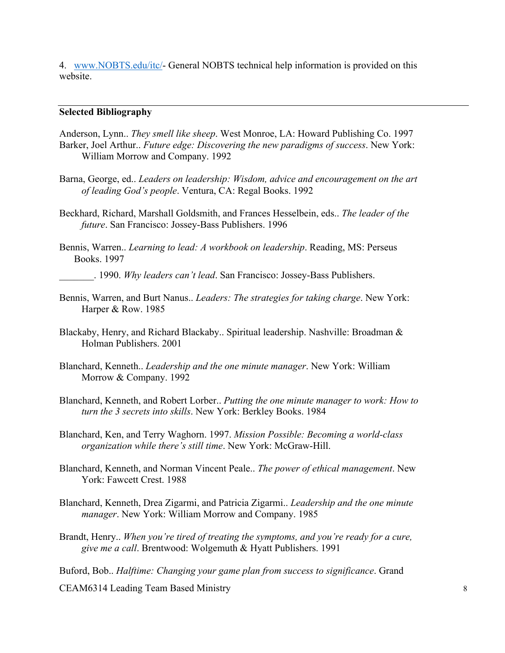4. www.NOBTS.edu/itc/- General NOBTS technical help information is provided on this website

#### **Selected Bibliography**

Anderson, Lynn.. *They smell like sheep*. West Monroe, LA: Howard Publishing Co. 1997 Barker, Joel Arthur.. *Future edge: Discovering the new paradigms of success*. New York: William Morrow and Company. 1992

- Barna, George, ed.. *Leaders on leadership: Wisdom, advice and encouragement on the art of leading God's people*. Ventura, CA: Regal Books. 1992
- Beckhard, Richard, Marshall Goldsmith, and Frances Hesselbein, eds.. *The leader of the future*. San Francisco: Jossey-Bass Publishers. 1996
- Bennis, Warren.. *Learning to lead: A workbook on leadership*. Reading, MS: Perseus Books. 1997
	- \_\_\_\_\_\_\_. 1990. *Why leaders can't lead*. San Francisco: Jossey-Bass Publishers.
- Bennis, Warren, and Burt Nanus.. *Leaders: The strategies for taking charge*. New York: Harper & Row. 1985
- Blackaby, Henry, and Richard Blackaby.. Spiritual leadership. Nashville: Broadman & Holman Publishers. 2001
- Blanchard, Kenneth.. *Leadership and the one minute manager*. New York: William Morrow & Company. 1992
- Blanchard, Kenneth, and Robert Lorber.. *Putting the one minute manager to work: How to turn the 3 secrets into skills*. New York: Berkley Books. 1984
- Blanchard, Ken, and Terry Waghorn. 1997. *Mission Possible: Becoming a world-class organization while there's still time*. New York: McGraw-Hill.
- Blanchard, Kenneth, and Norman Vincent Peale.. *The power of ethical management*. New York: Fawcett Crest. 1988
- Blanchard, Kenneth, Drea Zigarmi, and Patricia Zigarmi.. *Leadership and the one minute manager*. New York: William Morrow and Company. 1985
- Brandt, Henry.. *When you're tired of treating the symptoms, and you're ready for a cure, give me a call*. Brentwood: Wolgemuth & Hyatt Publishers. 1991

Buford, Bob.. *Halftime: Changing your game plan from success to significance*. Grand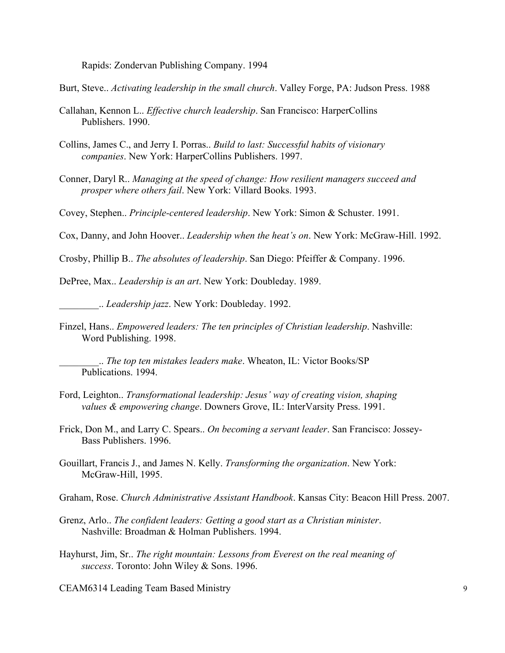Rapids: Zondervan Publishing Company. 1994

Burt, Steve.. *Activating leadership in the small church*. Valley Forge, PA: Judson Press. 1988

- Callahan, Kennon L.. *Effective church leadership*. San Francisco: HarperCollins Publishers. 1990.
- Collins, James C., and Jerry I. Porras.. *Build to last: Successful habits of visionary companies*. New York: HarperCollins Publishers. 1997.
- Conner, Daryl R.. *Managing at the speed of change: How resilient managers succeed and prosper where others fail*. New York: Villard Books. 1993.

Covey, Stephen.. *Principle-centered leadership*. New York: Simon & Schuster. 1991.

Cox, Danny, and John Hoover.. *Leadership when the heat's on*. New York: McGraw-Hill. 1992.

Crosby, Phillip B.. *The absolutes of leadership*. San Diego: Pfeiffer & Company. 1996.

DePree, Max.. *Leadership is an art*. New York: Doubleday. 1989.

\_\_\_\_\_\_\_\_.. *Leadership jazz*. New York: Doubleday. 1992.

Finzel, Hans.. *Empowered leaders: The ten principles of Christian leadership*. Nashville: Word Publishing. 1998.

\_\_\_\_\_\_\_\_.. *The top ten mistakes leaders make*. Wheaton, IL: Victor Books/SP Publications. 1994.

- Ford, Leighton.. *Transformational leadership: Jesus' way of creating vision, shaping values & empowering change*. Downers Grove, IL: InterVarsity Press. 1991.
- Frick, Don M., and Larry C. Spears.. *On becoming a servant leader*. San Francisco: Jossey-Bass Publishers. 1996.
- Gouillart, Francis J., and James N. Kelly. *Transforming the organization*. New York: McGraw-Hill, 1995.
- Graham, Rose. *Church Administrative Assistant Handbook*. Kansas City: Beacon Hill Press. 2007.
- Grenz, Arlo.. *The confident leaders: Getting a good start as a Christian minister*. Nashville: Broadman & Holman Publishers. 1994.
- Hayhurst, Jim, Sr.. *The right mountain: Lessons from Everest on the real meaning of success*. Toronto: John Wiley & Sons. 1996.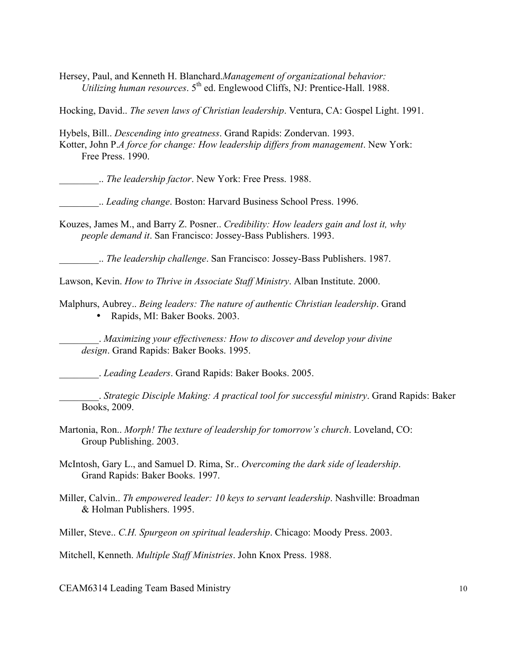Hersey, Paul, and Kenneth H. Blanchard.*Management of organizational behavior: Utilizing human resources*. 5<sup>th</sup> ed. Englewood Cliffs, NJ: Prentice-Hall. 1988.

Hocking, David.. *The seven laws of Christian leadership*. Ventura, CA: Gospel Light. 1991.

Hybels, Bill.. *Descending into greatness*. Grand Rapids: Zondervan. 1993. Kotter, John P.*A force for change: How leadership differs from management*. New York: Free Press. 1990.

\_\_\_\_\_\_\_\_.. *The leadership factor*. New York: Free Press. 1988.

\_\_\_\_\_\_\_\_.. *Leading change*. Boston: Harvard Business School Press. 1996.

Kouzes, James M., and Barry Z. Posner.. *Credibility: How leaders gain and lost it, why people demand it*. San Francisco: Jossey-Bass Publishers. 1993.

\_\_\_\_\_\_\_\_.. *The leadership challenge*. San Francisco: Jossey-Bass Publishers. 1987.

Lawson, Kevin. *How to Thrive in Associate Staff Ministry*. Alban Institute. 2000.

Malphurs, Aubrey.. *Being leaders: The nature of authentic Christian leadership*. Grand • Rapids, MI: Baker Books. 2003.

\_\_\_\_\_\_\_\_. *Maximizing your effectiveness: How to discover and develop your divine design*. Grand Rapids: Baker Books. 1995.

\_\_\_\_\_\_\_\_. *Leading Leaders*. Grand Rapids: Baker Books. 2005.

\_\_\_\_\_\_\_\_. *Strategic Disciple Making: A practical tool for successful ministry*. Grand Rapids: Baker Books, 2009.

- Martonia, Ron.. *Morph! The texture of leadership for tomorrow's church*. Loveland, CO: Group Publishing. 2003.
- McIntosh, Gary L., and Samuel D. Rima, Sr.. *Overcoming the dark side of leadership*. Grand Rapids: Baker Books. 1997.
- Miller, Calvin.. *Th empowered leader: 10 keys to servant leadership*. Nashville: Broadman & Holman Publishers. 1995.
- Miller, Steve.. *C.H. Spurgeon on spiritual leadership*. Chicago: Moody Press. 2003.

Mitchell, Kenneth. *Multiple Staff Ministries*. John Knox Press. 1988.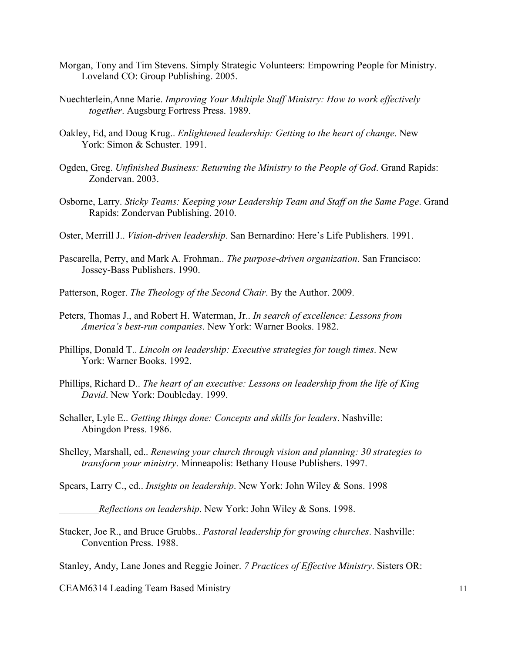- Morgan, Tony and Tim Stevens. Simply Strategic Volunteers: Empowring People for Ministry. Loveland CO: Group Publishing. 2005.
- Nuechterlein,Anne Marie. *Improving Your Multiple Staff Ministry: How to work effectively together*. Augsburg Fortress Press. 1989.
- Oakley, Ed, and Doug Krug.. *Enlightened leadership: Getting to the heart of change*. New York: Simon & Schuster. 1991.
- Ogden, Greg. *Unfinished Business: Returning the Ministry to the People of God*. Grand Rapids: Zondervan. 2003.
- Osborne, Larry. *Sticky Teams: Keeping your Leadership Team and Staff on the Same Page*. Grand Rapids: Zondervan Publishing. 2010.
- Oster, Merrill J.. *Vision-driven leadership*. San Bernardino: Here's Life Publishers. 1991.
- Pascarella, Perry, and Mark A. Frohman.. *The purpose-driven organization*. San Francisco: Jossey-Bass Publishers. 1990.
- Patterson, Roger. *The Theology of the Second Chair*. By the Author. 2009.
- Peters, Thomas J., and Robert H. Waterman, Jr.. *In search of excellence: Lessons from America's best-run companies*. New York: Warner Books. 1982.
- Phillips, Donald T.. *Lincoln on leadership: Executive strategies for tough times*. New York: Warner Books. 1992.
- Phillips, Richard D.. *The heart of an executive: Lessons on leadership from the life of King David*. New York: Doubleday. 1999.
- Schaller, Lyle E.. *Getting things done: Concepts and skills for leaders*. Nashville: Abingdon Press. 1986.
- Shelley, Marshall, ed.. *Renewing your church through vision and planning: 30 strategies to transform your ministry*. Minneapolis: Bethany House Publishers. 1997.

Spears, Larry C., ed.. *Insights on leadership*. New York: John Wiley & Sons. 1998

\_\_\_\_\_\_\_\_*Reflections on leadership*. New York: John Wiley & Sons. 1998.

Stacker, Joe R., and Bruce Grubbs.. *Pastoral leadership for growing churches*. Nashville: Convention Press. 1988.

Stanley, Andy, Lane Jones and Reggie Joiner. *7 Practices of Effective Ministry*. Sisters OR: